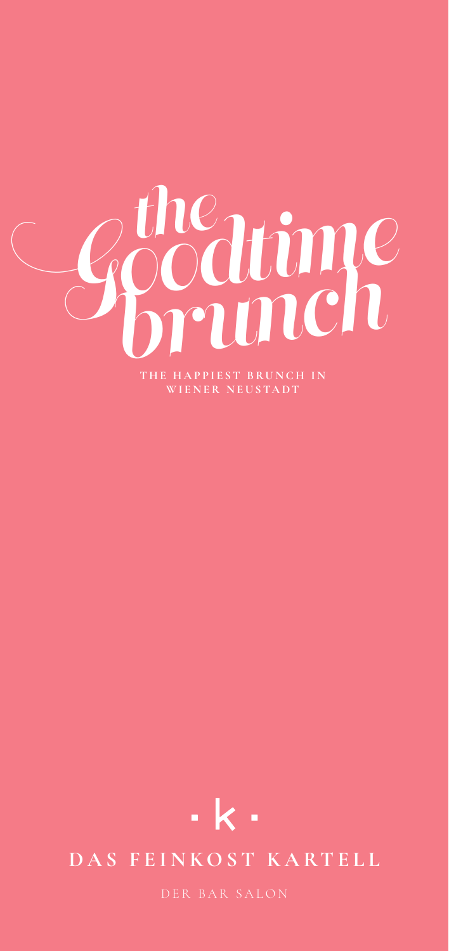



# DAS FEINKOST KARTELL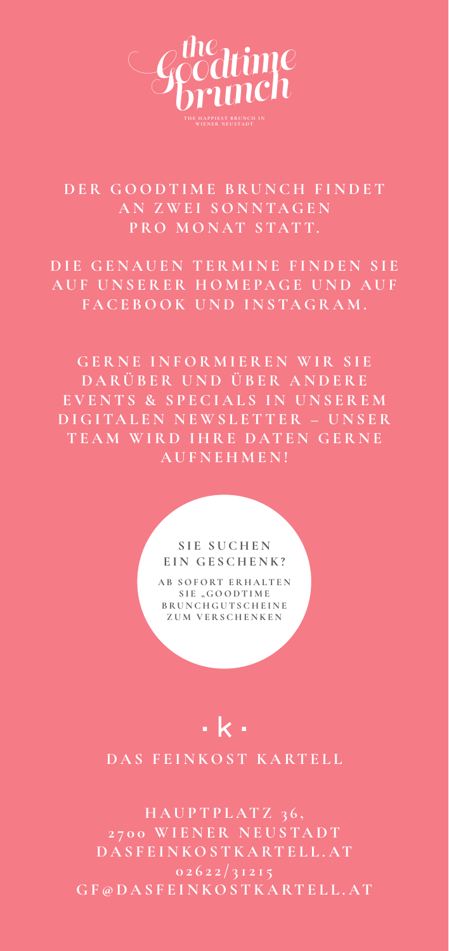

# DER GOODTIME BRUNCH FINDET **AN ZWEI SONNTAGEN PRO MONAT STATT.**

**DIE GENAUEN TERMINE FINDEN SIE** AUF UNSERER HOMEPAGE UND AUF **FACEBOOK UND INSTAGRAM.**

**GERNE INFORMIEREN WIR SIE D A R Ü B E R U N D Ü B E R A N D E R E EVENTS & SPECIALS IN UNSEREM D I G I TA L E N N E W S L E T T E R – U N S E R TEAM WIRD IHRE DATEN GERNE AUFNEHMEN!**

#### S<sub>IE</sub> SUCHEN **EIN GESCHENK?**

**A B S O F O RT E R H A L T E N**  SIE "GOODTIME **B R U N C H G U T S C H E I N E ZUM VERSCHENKEN**

# $\cdot$  k  $\cdot$

## **DAS FEINKOST KARTELL**

**H A U P T P L AT Z 3 6 , 2700 WIENER NEUSTADT DASFEINKOSTKARTELL.AT GF@DASFEINKOSTKARTELL.AT**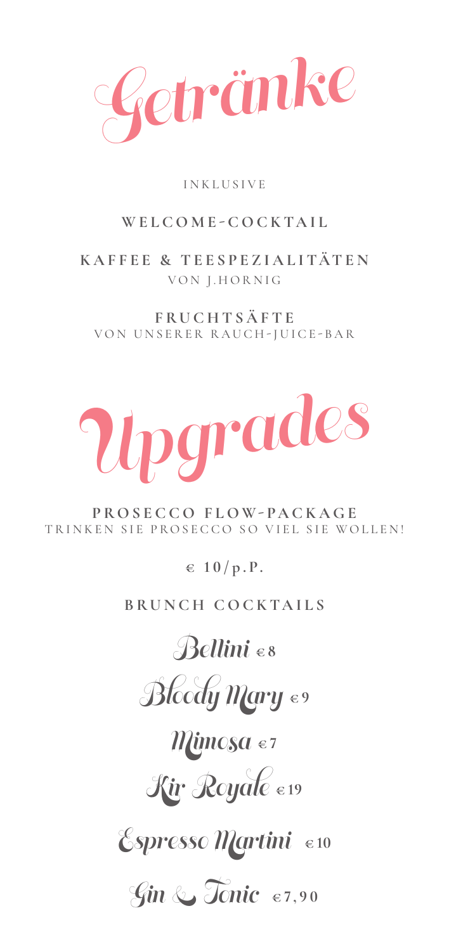Getränke

## INKLUSIVE

# **WELCOME-COCKTAIL**

**KAFFEE & TEESPEZIALITÄTEN** VON J.HORNIG

**FRUCHTSÄFTE** VON UNSERER RAUCH-JUICE-BAR



**P R O S E C C O F L O W - P A C K A G E**  TRINKEN SIE PROSECCO SO VIEL SIE WOLLEN!

**€ 1 0 / p .P.**

**BRUNCH COCKTAILS**

Bellini **€ 8**

Bloody Mary e9

Mimosa **€ 7**

Kir Royale **€ 19**

Espresso Martini **€ 10**

Gin & Tonic **€ 7,90**